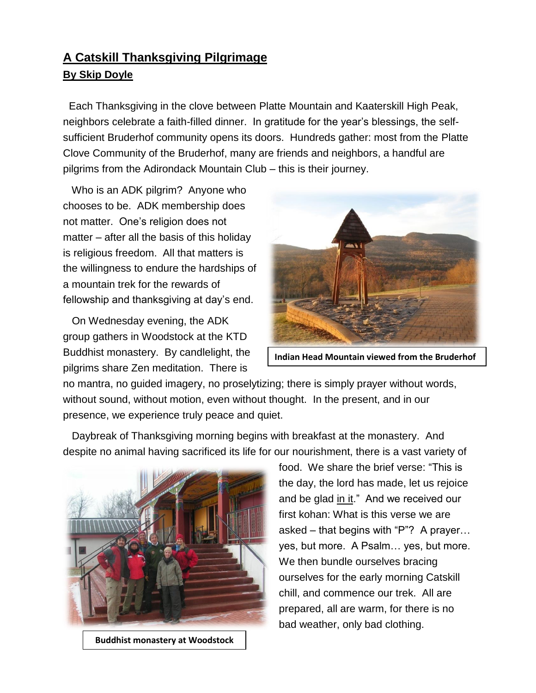## **A Catskill Thanksgiving Pilgrimage By Skip Doyle**

 Each Thanksgiving in the clove between Platte Mountain and Kaaterskill High Peak, neighbors celebrate a faith-filled dinner. In gratitude for the year's blessings, the selfsufficient Bruderhof community opens its doors. Hundreds gather: most from the Platte Clove Community of the Bruderhof, many are friends and neighbors, a handful are pilgrims from the Adirondack Mountain Club – this is their journey.

 Who is an ADK pilgrim? Anyone who chooses to be. ADK membership does not matter. One's religion does not matter – after all the basis of this holiday is religious freedom. All that matters is the willingness to endure the hardships of a mountain trek for the rewards of fellowship and thanksgiving at day's end.

 On Wednesday evening, the ADK group gathers in Woodstock at the KTD Buddhist monastery. By candlelight, the pilgrims share Zen meditation. There is



**Indian Head Mountain viewed from the Bruderhof**

no mantra, no guided imagery, no proselytizing; there is simply prayer without words, without sound, without motion, even without thought. In the present, and in our presence, we experience truly peace and quiet.

 Daybreak of Thanksgiving morning begins with breakfast at the monastery. And despite no animal having sacrificed its life for our nourishment, there is a vast variety of



**Buddhist monastery at Woodstock**

food. We share the brief verse: "This is the day, the lord has made, let us rejoice and be glad in it." And we received our first kohan: What is this verse we are asked – that begins with "P"? A prayer… yes, but more. A Psalm… yes, but more. We then bundle ourselves bracing ourselves for the early morning Catskill chill, and commence our trek. All are prepared, all are warm, for there is no bad weather, only bad clothing.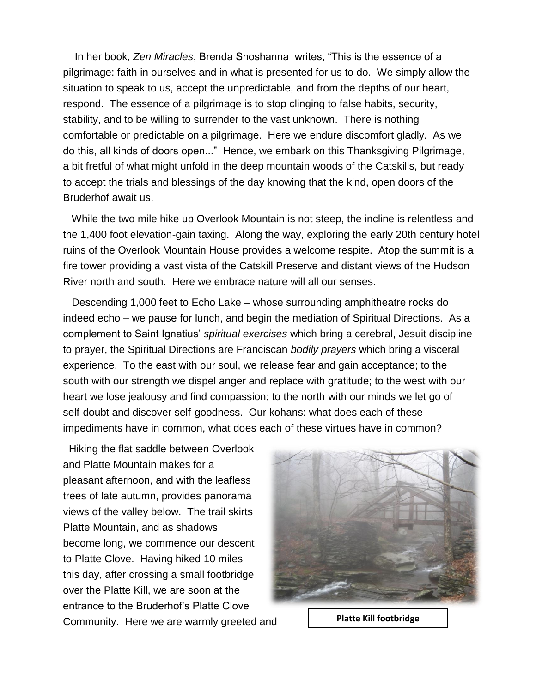In her book, *Zen Miracles*, Brenda Shoshanna writes, "This is the essence of a pilgrimage: faith in ourselves and in what is presented for us to do. We simply allow the situation to speak to us, accept the unpredictable, and from the depths of our heart, respond. The essence of a pilgrimage is to stop clinging to false habits, security, stability, and to be willing to surrender to the vast unknown. There is nothing comfortable or predictable on a pilgrimage. Here we endure discomfort gladly. As we do this, all kinds of doors open..." Hence, we embark on this Thanksgiving Pilgrimage, a bit fretful of what might unfold in the deep mountain woods of the Catskills, but ready to accept the trials and blessings of the day knowing that the kind, open doors of the Bruderhof await us.

 While the two mile hike up Overlook Mountain is not steep, the incline is relentless and the 1,400 foot elevation-gain taxing. Along the way, exploring the early 20th century hotel ruins of the Overlook Mountain House provides a welcome respite. Atop the summit is a fire tower providing a vast vista of the Catskill Preserve and distant views of the Hudson River north and south. Here we embrace nature will all our senses.

 Descending 1,000 feet to Echo Lake – whose surrounding amphitheatre rocks do indeed echo – we pause for lunch, and begin the mediation of Spiritual Directions. As a complement to Saint Ignatius' *spiritual exercises* which bring a cerebral, Jesuit discipline to prayer, the Spiritual Directions are Franciscan *bodily prayers* which bring a visceral experience. To the east with our soul, we release fear and gain acceptance; to the south with our strength we dispel anger and replace with gratitude; to the west with our heart we lose jealousy and find compassion; to the north with our minds we let go of self-doubt and discover self-goodness. Our kohans: what does each of these impediments have in common, what does each of these virtues have in common?

 Hiking the flat saddle between Overlook and Platte Mountain makes for a pleasant afternoon, and with the leafless trees of late autumn, provides panorama views of the valley below. The trail skirts Platte Mountain, and as shadows become long, we commence our descent to Platte Clove. Having hiked 10 miles this day, after crossing a small footbridge over the Platte Kill, we are soon at the entrance to the Bruderhof's Platte Clove Community. Here we are warmly greeted and **Platte Kill footbridge**

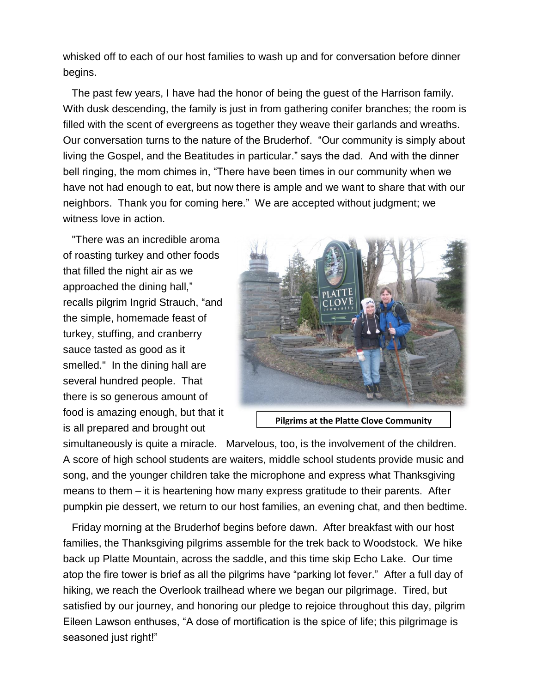whisked off to each of our host families to wash up and for conversation before dinner begins.

 The past few years, I have had the honor of being the guest of the Harrison family. With dusk descending, the family is just in from gathering conifer branches; the room is filled with the scent of evergreens as together they weave their garlands and wreaths. Our conversation turns to the nature of the Bruderhof. "Our community is simply about living the Gospel, and the Beatitudes in particular." says the dad. And with the dinner bell ringing, the mom chimes in, "There have been times in our community when we have not had enough to eat, but now there is ample and we want to share that with our neighbors. Thank you for coming here." We are accepted without judgment; we witness love in action.

 "There was an incredible aroma of roasting turkey and other foods that filled the night air as we approached the dining hall," recalls pilgrim Ingrid Strauch, "and the simple, homemade feast of turkey, stuffing, and cranberry sauce tasted as good as it smelled." In the dining hall are several hundred people. That there is so generous amount of food is amazing enough, but that it is all prepared and brought out



**Pilgrims at the Platte Clove Community**

simultaneously is quite a miracle. Marvelous, too, is the involvement of the children. A score of high school students are waiters, middle school students provide music and song, and the younger children take the microphone and express what Thanksgiving means to them – it is heartening how many express gratitude to their parents. After pumpkin pie dessert, we return to our host families, an evening chat, and then bedtime.

 Friday morning at the Bruderhof begins before dawn. After breakfast with our host families, the Thanksgiving pilgrims assemble for the trek back to Woodstock. We hike back up Platte Mountain, across the saddle, and this time skip Echo Lake. Our time atop the fire tower is brief as all the pilgrims have "parking lot fever." After a full day of hiking, we reach the Overlook trailhead where we began our pilgrimage. Tired, but satisfied by our journey, and honoring our pledge to rejoice throughout this day, pilgrim Eileen Lawson enthuses, "A dose of mortification is the spice of life; this pilgrimage is seasoned just right!"